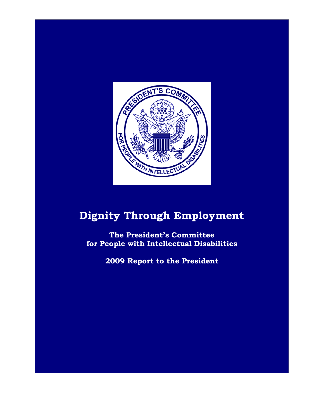

## **Dignity Through Employment**

**The President's Committee for People with Intellectual Disabilities**

**2009 Report to the President**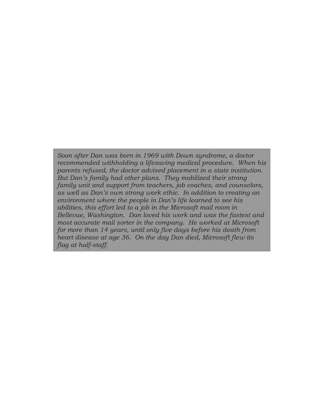*Soon after Dan was born in 1969 with Down syndrome, a doctor recommended withholding a lifesaving medical procedure. When his parents refused, the doctor advised placement in a state institution. But Dan's family had other plans. They mobilized their strong family unit and support from teachers, job coaches, and counselors, as well as Dan's own strong work ethic. In addition to creating an environment where the people in Dan's life learned to see his abilities, this effort led to a job in the Microsoft mail room in Bellevue, Washington. Dan loved his work and was the fastest and most accurate mail sorter in the company. He worked at Microsoft for more than 14 years, until only five days before his death from heart disease at age 36. On the day Dan died, Microsoft flew its flag at half-staff.*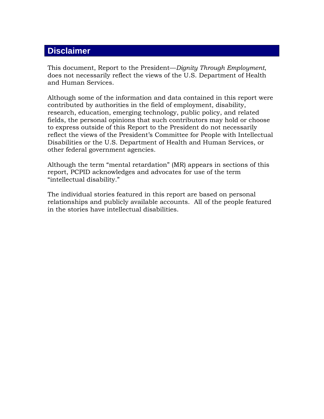## **Disclaimer**

This document, Report to the President—*Dignity Through Employment*, does not necessarily reflect the views of the U.S. Department of Health and Human Services.

Although some of the information and data contained in this report were contributed by authorities in the field of employment, disability, research, education, emerging technology, public policy, and related fields, the personal opinions that such contributors may hold or choose to express outside of this Report to the President do not necessarily reflect the views of the President's Committee for People with Intellectual Disabilities or the U.S. Department of Health and Human Services, or other federal government agencies.

Although the term "mental retardation" (MR) appears in sections of this report, PCPID acknowledges and advocates for use of the term "intellectual disability."

The individual stories featured in this report are based on personal relationships and publicly available accounts. All of the people featured in the stories have intellectual disabilities.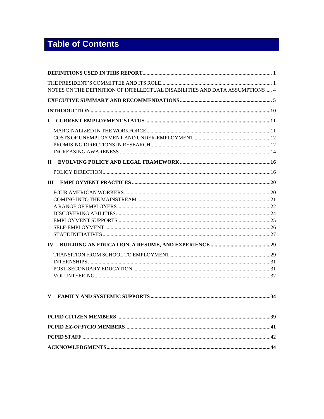## **Table of Contents**

| NOTES ON THE DEFINITION OF INTELLECTUAL DISABILITIES AND DATA ASSUMPTIONS 4 |  |
|-----------------------------------------------------------------------------|--|
|                                                                             |  |
| $\mathbf I$                                                                 |  |
|                                                                             |  |
|                                                                             |  |
|                                                                             |  |
|                                                                             |  |
|                                                                             |  |
| $\mathbf{IV}$                                                               |  |
| V                                                                           |  |
|                                                                             |  |
|                                                                             |  |
|                                                                             |  |
|                                                                             |  |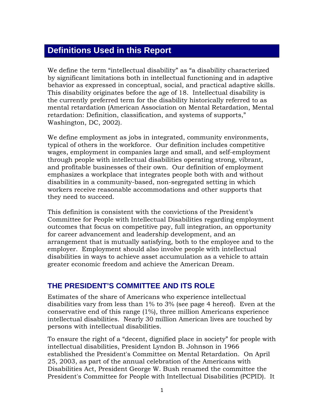## **Definitions Used in this Report**

We define the term "intellectual disability" as "a disability characterized by significant limitations both in intellectual functioning and in adaptive behavior as expressed in conceptual, social, and practical adaptive skills. This disability originates before the age of 18. Intellectual disability is the currently preferred term for the disability historically referred to as mental retardation (American Association on Mental Retardation, Mental retardation: Definition, classification, and systems of supports," Washington, DC, 2002).

We define employment as jobs in integrated, community environments, typical of others in the workforce. Our definition includes competitive wages, employment in companies large and small, and self-employment through people with intellectual disabilities operating strong, vibrant, and profitable businesses of their own. Our definition of employment emphasizes a workplace that integrates people both with and without disabilities in a community-based, non-segregated setting in which workers receive reasonable accommodations and other supports that they need to succeed.

This definition is consistent with the convictions of the President's Committee for People with Intellectual Disabilities regarding employment outcomes that focus on competitive pay, full integration, an opportunity for career advancement and leadership development, and an arrangement that is mutually satisfying, both to the employee and to the employer. Employment should also involve people with intellectual disabilities in ways to achieve asset accumulation as a vehicle to attain greater economic freedom and achieve the American Dream.

## **THE PRESIDENT'S COMMITTEE AND ITS ROLE**

Estimates of the share of Americans who experience intellectual disabilities vary from less than 1% to 3% (see page 4 hereof). Even at the conservative end of this range (1%), three million Americans experience intellectual disabilities. Nearly 30 million American lives are touched by persons with intellectual disabilities.

To ensure the right of a "decent, dignified place in society" for people with intellectual disabilities, President Lyndon B. Johnson in 1966 established the President's Committee on Mental Retardation. On April 25, 2003, as part of the annual celebration of the Americans with Disabilities Act, President George W. Bush renamed the committee the President's Committee for People with Intellectual Disabilities (PCPID). It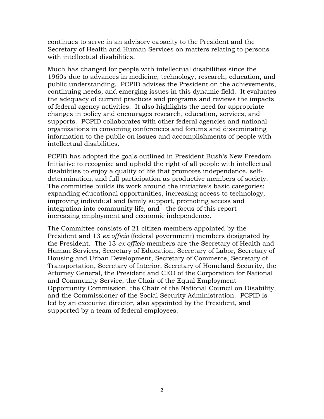continues to serve in an advisory capacity to the President and the Secretary of Health and Human Services on matters relating to persons with intellectual disabilities.

Much has changed for people with intellectual disabilities since the 1960s due to advances in medicine, technology, research, education, and public understanding. PCPID advises the President on the achievements, continuing needs, and emerging issues in this dynamic field. It evaluates the adequacy of current practices and programs and reviews the impacts of federal agency activities. It also highlights the need for appropriate changes in policy and encourages research, education, services, and supports. PCPID collaborates with other federal agencies and national organizations in convening conferences and forums and disseminating information to the public on issues and accomplishments of people with intellectual disabilities.

PCPID has adopted the goals outlined in President Bush's New Freedom Initiative to recognize and uphold the right of all people with intellectual disabilities to enjoy a quality of life that promotes independence, selfdetermination, and full participation as productive members of society. The committee builds its work around the initiative's basic categories: expanding educational opportunities, increasing access to technology, improving individual and family support, promoting access and integration into community life, and—the focus of this report increasing employment and economic independence.

The Committee consists of 21 citizen members appointed by the President and 13 *ex officio* (federal government) members designated by the President. The 13 *ex officio* members are the Secretary of Health and Human Services, Secretary of Education, Secretary of Labor, Secretary of Housing and Urban Development, Secretary of Commerce, Secretary of Transportation, Secretary of Interior, Secretary of Homeland Security, the Attorney General, the President and CEO of the Corporation for National and Community Service, the Chair of the Equal Employment Opportunity Commission, the Chair of the National Council on Disability, and the Commissioner of the Social Security Administration. PCPID is led by an executive director, also appointed by the President, and supported by a team of federal employees.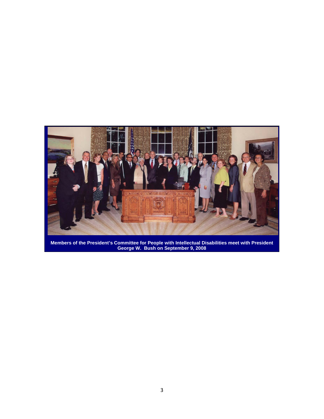

**Members of the President's Committee for People with Intellectual Disabilities meet with President George W. Bush on September 9, 2008**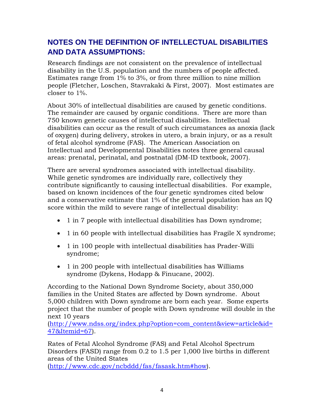## **NOTES ON THE DEFINITION OF INTELLECTUAL DISABILITIES AND DATA ASSUMPTIONS:**

Research findings are not consistent on the prevalence of intellectual disability in the U.S. population and the numbers of people affected. Estimates range from 1% to 3%, or from three million to nine million people (Fletcher, Loschen, Stavrakaki & First, 2007). Most estimates are closer to 1%.

About 30% of intellectual disabilities are caused by genetic conditions. The remainder are caused by organic conditions. There are more than 750 known genetic causes of intellectual disabilities. Intellectual disabilities can occur as the result of such circumstances as anoxia (lack of oxygen) during delivery, strokes in utero, a brain injury, or as a result of fetal alcohol syndrome (FAS). The American Association on Intellectual and Developmental Disabilities notes three general causal areas: prenatal, perinatal, and postnatal (DM-ID textbook, 2007).

There are several syndromes associated with intellectual disability. While genetic syndromes are individually rare, collectively they contribute significantly to causing intellectual disabilities. For example, based on known incidences of the four genetic syndromes cited below and a conservative estimate that 1% of the general population has an IQ score within the mild to severe range of intellectual disability:

- 1 in 7 people with intellectual disabilities has Down syndrome;
- 1 in 60 people with intellectual disabilities has Fragile X syndrome;
- 1 in 100 people with intellectual disabilities has Prader-Willi syndrome;
- 1 in 200 people with intellectual disabilities has Williams syndrome (Dykens, Hodapp & Finucane, 2002).

According to the National Down Syndrome Society, about 350,000 families in the United States are affected by Down syndrome. About 5,000 children with Down syndrome are born each year. Some experts project that the number of people with Down syndrome will double in the next 10 years

[\(http://www.ndss.org/index.php?option=com\\_content&view=article&id=](http://www.ndss.org/index.php?option=com_content&view=article&id=47&Itemid=67) [47&Itemid=67\)](http://www.ndss.org/index.php?option=com_content&view=article&id=47&Itemid=67).

Rates of Fetal Alcohol Syndrome (FAS) and Fetal Alcohol Spectrum Disorders (FASD) range from 0.2 to 1.5 per 1,000 live births in different areas of the United States

[\(http://www.cdc.gov/ncbddd/fas/fasask.htm#how\)](http://www.cdc.gov/ncbddd/fas/fasask.htm#how).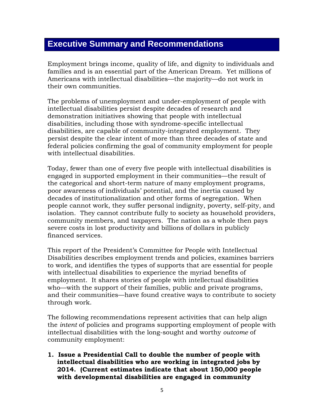## **Executive Summary and Recommendations**

Employment brings income, quality of life, and dignity to individuals and families and is an essential part of the American Dream. Yet millions of Americans with intellectual disabilities—the majority—do not work in their own communities.

The problems of unemployment and under-employment of people with intellectual disabilities persist despite decades of research and demonstration initiatives showing that people with intellectual disabilities, including those with syndrome-specific intellectual disabilities, are capable of community-integrated employment. They persist despite the clear intent of more than three decades of state and federal policies confirming the goal of community employment for people with intellectual disabilities.

Today, fewer than one of every five people with intellectual disabilities is engaged in supported employment in their communities—the result of the categorical and short-term nature of many employment programs, poor awareness of individuals' potential, and the inertia caused by decades of institutionalization and other forms of segregation. When people cannot work, they suffer personal indignity, poverty, self-pity, and isolation. They cannot contribute fully to society as household providers, community members, and taxpayers. The nation as a whole then pays severe costs in lost productivity and billions of dollars in publicly financed services.

This report of the President's Committee for People with Intellectual Disabilities describes employment trends and policies, examines barriers to work, and identifies the types of supports that are essential for people with intellectual disabilities to experience the myriad benefits of employment. It shares stories of people with intellectual disabilities who—with the support of their families, public and private programs, and their communities—have found creative ways to contribute to society through work.

The following recommendations represent activities that can help align the *intent* of policies and programs supporting employment of people with intellectual disabilities with the long-sought and worthy *outcome* of community employment:

**1. Issue a Presidential Call to double the number of people with intellectual disabilities who are working in integrated jobs by 2014. (Current estimates indicate that about 150,000 people with developmental disabilities are engaged in community**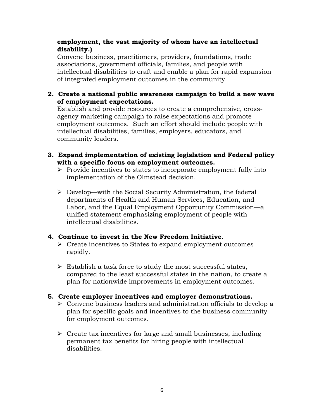#### **employment, the vast majority of whom have an intellectual disability.)**

Convene business, practitioners, providers, foundations, trade associations, government officials, families, and people with intellectual disabilities to craft and enable a plan for rapid expansion of integrated employment outcomes in the community.

#### **2. Create a national public awareness campaign to build a new wave of employment expectations.**

Establish and provide resources to create a comprehensive, crossagency marketing campaign to raise expectations and promote employment outcomes. Such an effort should include people with intellectual disabilities, families, employers, educators, and community leaders.

- **3. Expand implementation of existing legislation and Federal policy with a specific focus on employment outcomes.** 
	- $\triangleright$  Provide incentives to states to incorporate employment fully into implementation of the Olmstead decision.
	- $\triangleright$  Develop—with the Social Security Administration, the federal departments of Health and Human Services, Education, and Labor, and the Equal Employment Opportunity Commission—a unified statement emphasizing employment of people with intellectual disabilities.

#### **4. Continue to invest in the New Freedom Initiative.**

- $\triangleright$  Create incentives to States to expand employment outcomes rapidly.
- $\triangleright$  Establish a task force to study the most successful states, compared to the least successful states in the nation, to create a plan for nationwide improvements in employment outcomes.

#### **5. Create employer incentives and employer demonstrations.**

- Convene business leaders and administration officials to develop a plan for specific goals and incentives to the business community for employment outcomes.
- $\triangleright$  Create tax incentives for large and small businesses, including permanent tax benefits for hiring people with intellectual disabilities.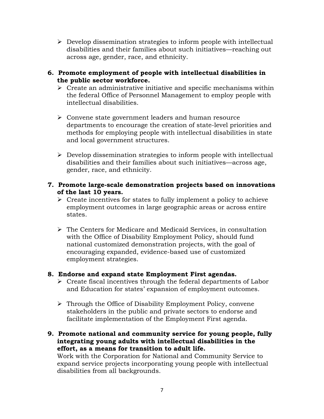- $\triangleright$  Develop dissemination strategies to inform people with intellectual disabilities and their families about such initiatives—reaching out across age, gender, race, and ethnicity.
- **6. Promote employment of people with intellectual disabilities in the public sector workforce.** 
	- $\triangleright$  Create an administrative initiative and specific mechanisms within the federal Office of Personnel Management to employ people with intellectual disabilities.
	- Convene state government leaders and human resource departments to encourage the creation of state-level priorities and methods for employing people with intellectual disabilities in state and local government structures.
	- $\triangleright$  Develop dissemination strategies to inform people with intellectual disabilities and their families about such initiatives—across age, gender, race, and ethnicity.
- **7. Promote large-scale demonstration projects based on innovations of the last 10 years.** 
	- $\triangleright$  Create incentives for states to fully implement a policy to achieve employment outcomes in large geographic areas or across entire states.
	- $\triangleright$  The Centers for Medicare and Medicaid Services, in consultation with the Office of Disability Employment Policy, should fund national customized demonstration projects, with the goal of encouraging expanded, evidence-based use of customized employment strategies.

#### **8. Endorse and expand state Employment First agendas.**

- $\triangleright$  Create fiscal incentives through the federal departments of Labor and Education for states' expansion of employment outcomes.
- $\triangleright$  Through the Office of Disability Employment Policy, convene stakeholders in the public and private sectors to endorse and facilitate implementation of the Employment First agenda.
- **9. Promote national and community service for young people, fully integrating young adults with intellectual disabilities in the effort, as a means for transition to adult life.**

Work with the Corporation for National and Community Service to expand service projects incorporating young people with intellectual disabilities from all backgrounds.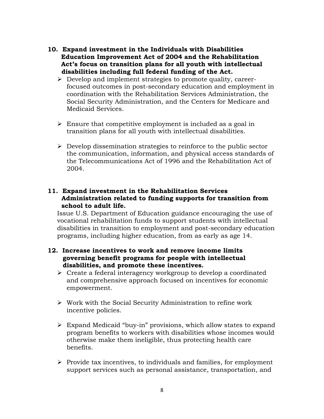- **10. Expand investment in the Individuals with Disabilities Education Improvement Act of 2004 and the Rehabilitation Act's focus on transition plans for all youth with intellectual disabilities including full federal funding of the Act.** 
	- $\triangleright$  Develop and implement strategies to promote quality, careerfocused outcomes in post-secondary education and employment in coordination with the Rehabilitation Services Administration, the Social Security Administration, and the Centers for Medicare and Medicaid Services.
	- $\triangleright$  Ensure that competitive employment is included as a goal in transition plans for all youth with intellectual disabilities.
	- $\triangleright$  Develop dissemination strategies to reinforce to the public sector the communication, information, and physical access standards of the Telecommunications Act of 1996 and the Rehabilitation Act of 2004.

#### **11. Expand investment in the Rehabilitation Services Administration related to funding supports for transition from school to adult life.**

Issue U.S. Department of Education guidance encouraging the use of vocational rehabilitation funds to support students with intellectual disabilities in transition to employment and post-secondary education programs, including higher education, from as early as age 14.

#### **12. Increase incentives to work and remove income limits governing benefit programs for people with intellectual disabilities, and promote these incentives.**

- $\triangleright$  Create a federal interagency workgroup to develop a coordinated and comprehensive approach focused on incentives for economic empowerment.
- $\triangleright$  Work with the Social Security Administration to refine work incentive policies.
- $\triangleright$  Expand Medicaid "buy-in" provisions, which allow states to expand program benefits to workers with disabilities whose incomes would otherwise make them ineligible, thus protecting health care benefits.
- $\triangleright$  Provide tax incentives, to individuals and families, for employment support services such as personal assistance, transportation, and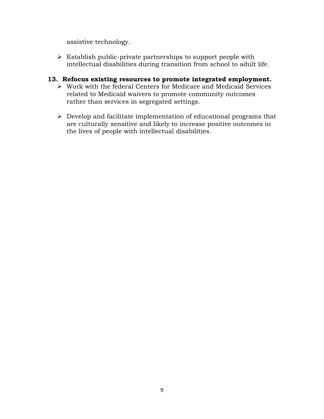assistive technology.

 $\triangleright$  Establish public-private partnerships to support people with intellectual disabilities during transition from school to adult life.

#### **13. Refocus existing resources to promote integrated employment.**

- Work with the federal Centers for Medicare and Medicaid Services related to Medicaid waivers to promote community outcomes rather than services in segregated settings.
- $\triangleright$  Develop and facilitate implementation of educational programs that are culturally sensitive and likely to increase positive outcomes in the lives of people with intellectual disabilities.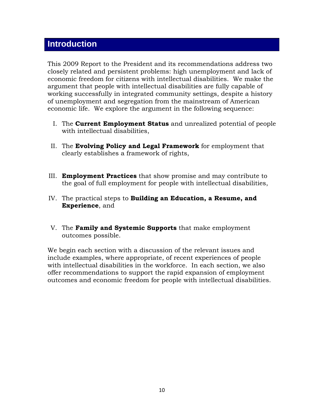## **Introduction**

This 2009 Report to the President and its recommendations address two closely related and persistent problems: high unemployment and lack of economic freedom for citizens with intellectual disabilities. We make the argument that people with intellectual disabilities are fully capable of working successfully in integrated community settings, despite a history of unemployment and segregation from the mainstream of American economic life. We explore the argument in the following sequence:

- I. The **Current Employment Status** and unrealized potential of people with intellectual disabilities,
- II. The **Evolving Policy and Legal Framework** for employment that clearly establishes a framework of rights,
- III. **Employment Practices** that show promise and may contribute to the goal of full employment for people with intellectual disabilities,
- IV. The practical steps to **Building an Education, a Resume, and Experience**, and
- V. The **Family and Systemic Supports** that make employment outcomes possible.

We begin each section with a discussion of the relevant issues and include examples, where appropriate, of recent experiences of people with intellectual disabilities in the workforce. In each section, we also offer recommendations to support the rapid expansion of employment outcomes and economic freedom for people with intellectual disabilities.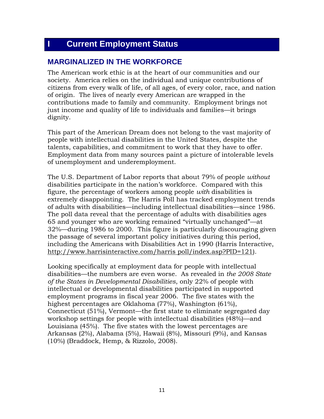## **I Current Employment Status**

## **MARGINALIZED IN THE WORKFORCE**

The American work ethic is at the heart of our communities and our society. America relies on the individual and unique contributions of citizens from every walk of life, of all ages, of every color, race, and nation of origin. The lives of nearly every American are wrapped in the contributions made to family and community. Employment brings not just income and quality of life to individuals and families—it brings dignity.

This part of the American Dream does not belong to the vast majority of people with intellectual disabilities in the United States, despite the talents, capabilities, and commitment to work that they have to offer. Employment data from many sources paint a picture of intolerable levels of unemployment and underemployment.

The U.S. Department of Labor reports that about 79% of people *without* disabilities participate in the nation's workforce. Compared with this figure, the percentage of workers among people *with* disabilities is extremely disappointing. The Harris Poll has tracked employment trends of adults with disabilities—including intellectual disabilities—since 1986. The poll data reveal that the percentage of adults with disabilities ages 65 and younger who are working remained "virtually unchanged"—at 32%—during 1986 to 2000. This figure is particularly discouraging given the passage of several important policy initiatives during this period, including the Americans with Disabilities Act in 1990 (Harris Interactive, http://www.harrisinteractive.com/harris poll/index.asp?PID=121).

Looking specifically at employment data for people with intellectual disabilities—the numbers are even worse. As revealed in *the 2008 State of the States in Developmental Disabilities*, only 22% of people with intellectual or developmental disabilities participated in supported employment programs in fiscal year 2006. The five states with the highest percentages are Oklahoma (77%), Washington (61%), Connecticut (51%), Vermont—the first state to eliminate segregated day workshop settings for people with intellectual disabilities (48%)—and Louisiana (45%). The five states with the lowest percentages are Arkansas (2%), Alabama (5%), Hawaii (8%), Missouri (9%), and Kansas (10%) (Braddock, Hemp, & Rizzolo, 2008).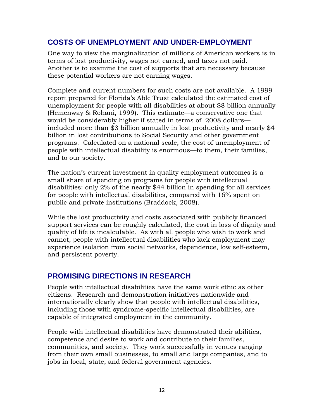## **COSTS OF UNEMPLOYMENT AND UNDER-EMPLOYMENT**

One way to view the marginalization of millions of American workers is in terms of lost productivity, wages not earned, and taxes not paid. Another is to examine the cost of supports that are necessary because these potential workers are not earning wages.

Complete and current numbers for such costs are not available. A 1999 report prepared for Florida's Able Trust calculated the estimated cost of unemployment for people with all disabilities at about \$8 billion annually (Hemenway & Rohani, 1999). This estimate—a conservative one that would be considerably higher if stated in terms of 2008 dollars included more than \$3 billion annually in lost productivity and nearly \$4 billion in lost contributions to Social Security and other government programs. Calculated on a national scale, the cost of unemployment of people with intellectual disability is enormous—to them, their families, and to our society.

The nation's current investment in quality employment outcomes is a small share of spending on programs for people with intellectual disabilities: only 2% of the nearly \$44 billion in spending for all services for people with intellectual disabilities, compared with 16% spent on public and private institutions (Braddock, 2008).

While the lost productivity and costs associated with publicly financed support services can be roughly calculated, the cost in loss of dignity and quality of life is incalculable. As with all people who wish to work and cannot, people with intellectual disabilities who lack employment may experience isolation from social networks, dependence, low self-esteem, and persistent poverty.

## **PROMISING DIRECTIONS IN RESEARCH**

People with intellectual disabilities have the same work ethic as other citizens. Research and demonstration initiatives nationwide and internationally clearly show that people with intellectual disabilities, including those with syndrome-specific intellectual disabilities, are capable of integrated employment in the community.

People with intellectual disabilities have demonstrated their abilities, competence and desire to work and contribute to their families, communities, and society. They work successfully in venues ranging from their own small businesses, to small and large companies, and to jobs in local, state, and federal government agencies.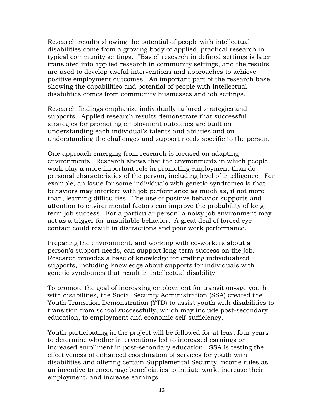Research results showing the potential of people with intellectual disabilities come from a growing body of applied, practical research in typical community settings. "Basic" research in defined settings is later translated into applied research in community settings, and the results are used to develop useful interventions and approaches to achieve positive employment outcomes. An important part of the research base showing the capabilities and potential of people with intellectual disabilities comes from community businesses and job settings.

Research findings emphasize individually tailored strategies and supports. Applied research results demonstrate that successful strategies for promoting employment outcomes are built on understanding each individual's talents and abilities and on understanding the challenges and support needs specific to the person.

One approach emerging from research is focused on adapting environments. Research shows that the environments in which people work play a more important role in promoting employment than do personal characteristics of the person, including level of intelligence. For example, an issue for some individuals with genetic syndromes is that behaviors may interfere with job performance as much as, if not more than, learning difficulties. The use of positive behavior supports and attention to environmental factors can improve the probability of longterm job success. For a particular person, a noisy job environment may act as a trigger for unsuitable behavior. A great deal of forced eye contact could result in distractions and poor work performance.

Preparing the environment, and working with co-workers about a person's support needs, can support long-term success on the job. Research provides a base of knowledge for crafting individualized supports, including knowledge about supports for individuals with genetic syndromes that result in intellectual disability.

To promote the goal of increasing employment for transition-age youth with disabilities, the Social Security Administration (SSA) created the Youth Transition Demonstration (YTD) to assist youth with disabilities to transition from school successfully, which may include post-secondary education, to employment and economic self-sufficiency.

Youth participating in the project will be followed for at least four years to determine whether interventions led to increased earnings or increased enrollment in post-secondary education. SSA is testing the effectiveness of enhanced coordination of services for youth with disabilities and altering certain Supplemental Security Income rules as an incentive to encourage beneficiaries to initiate work, increase their employment, and increase earnings.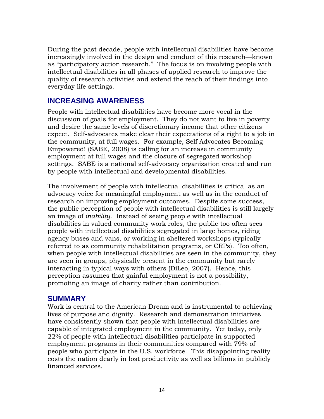During the past decade, people with intellectual disabilities have become increasingly involved in the design and conduct of this research—known as "participatory action research." The focus is on involving people with intellectual disabilities in all phases of applied research to improve the quality of research activities and extend the reach of their findings into everyday life settings.

## **INCREASING AWARENESS**

People with intellectual disabilities have become more vocal in the discussion of goals for employment. They do not want to live in poverty and desire the same levels of discretionary income that other citizens expect. Self-advocates make clear their expectations of a right to a job in the community, at full wages. For example, Self Advocates Becoming Empowered! (SABE, 2008) is calling for an increase in community employment at full wages and the closure of segregated workshop settings. SABE is a national self-advocacy organization created and run by people with intellectual and developmental disabilities.

The involvement of people with intellectual disabilities is critical as an advocacy voice for meaningful employment as well as in the conduct of research on improving employment outcomes. Despite some success, the public perception of people with intellectual disabilities is still largely an image of *inability*. Instead of seeing people with intellectual disabilities in valued community work roles, the public too often sees people with intellectual disabilities segregated in large homes, riding agency buses and vans, or working in sheltered workshops (typically referred to as community rehabilitation programs, or CRPs). Too often, when people with intellectual disabilities are seen in the community, they are seen in groups, physically present in the community but rarely interacting in typical ways with others (DiLeo, 2007). Hence, this perception assumes that gainful employment is not a possibility, promoting an image of charity rather than contribution.

#### **SUMMARY**

Work is central to the American Dream and is instrumental to achieving lives of purpose and dignity. Research and demonstration initiatives have consistently shown that people with intellectual disabilities are capable of integrated employment in the community. Yet today, only 22% of people with intellectual disabilities participate in supported employment programs in their communities compared with 79% of people who participate in the U.S. workforce. This disappointing reality costs the nation dearly in lost productivity as well as billions in publicly financed services.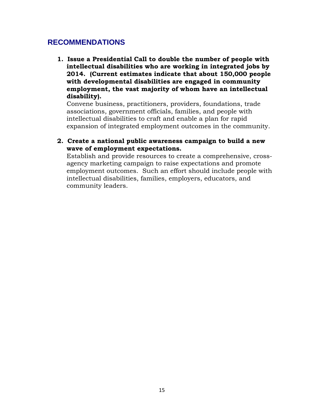## **RECOMMENDATIONS**

**1. Issue a Presidential Call to double the number of people with intellectual disabilities who are working in integrated jobs by 2014. (Current estimates indicate that about 150,000 people with developmental disabilities are engaged in community employment, the vast majority of whom have an intellectual disability).** 

Convene business, practitioners, providers, foundations, trade associations, government officials, families, and people with intellectual disabilities to craft and enable a plan for rapid expansion of integrated employment outcomes in the community.

#### **2. Create a national public awareness campaign to build a new wave of employment expectations.**

Establish and provide resources to create a comprehensive, crossagency marketing campaign to raise expectations and promote employment outcomes. Such an effort should include people with intellectual disabilities, families, employers, educators, and community leaders.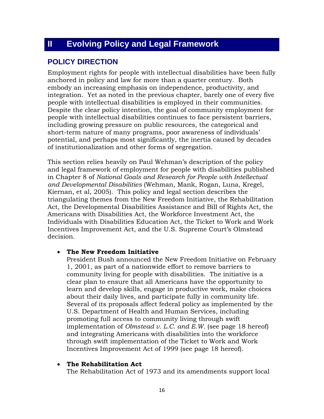## **II Evolving Policy and Legal Framework**

## **POLICY DIRECTION**

Employment rights for people with intellectual disabilities have been fully anchored in policy and law for more than a quarter century. Both embody an increasing emphasis on independence, productivity, and integration. Yet as noted in the previous chapter, barely one of every five people with intellectual disabilities is employed in their communities. Despite the clear policy intention, the goal of community employment for people with intellectual disabilities continues to face persistent barriers, including growing pressure on public resources, the categorical and short-term nature of many programs, poor awareness of individuals' potential, and perhaps most significantly, the inertia caused by decades of institutionalization and other forms of segregation.

This section relies heavily on Paul Wehman's description of the policy and legal framework of employment for people with disabilities published in Chapter 8 of *National Goals and Research for People with Intellectual and Developmental Disabilities* (Wehman, Mank, Rogan, Luna, Kregel, Kiernan, et al, 2005). This policy and legal section describes the triangulating themes from the New Freedom Initiative, the Rehabilitation Act, the Developmental Disabilities Assistance and Bill of Rights Act, the Americans with Disabilities Act, the Workforce Investment Act, the Individuals with Disabilities Education Act, the Ticket to Work and Work Incentives Improvement Act, and the U.S. Supreme Court's Olmstead decision.

#### • **The New Freedom Initiative**

President Bush announced the New Freedom Initiative on February 1, 2001, as part of a nationwide effort to remove barriers to community living for people with disabilities. The initiative is a clear plan to ensure that all Americans have the opportunity to learn and develop skills, engage in productive work, make choices about their daily lives, and participate fully in community life. Several of its proposals affect federal policy as implemented by the U.S. Department of Health and Human Services, including promoting full access to community living through swift implementation of *Olmstead v. L.C. and E.W*. (see page 18 hereof) and integrating Americans with disabilities into the workforce through swift implementation of the Ticket to Work and Work Incentives Improvement Act of 1999 (see page 18 hereof).

#### • **The Rehabilitation Act**

The Rehabilitation Act of 1973 and its amendments support local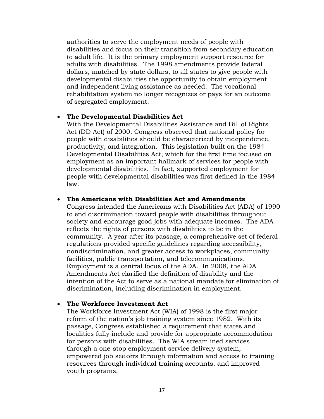authorities to serve the employment needs of people with disabilities and focus on their transition from secondary education to adult life. It is the primary employment support resource for adults with disabilities. The 1998 amendments provide federal dollars, matched by state dollars, to all states to give people with developmental disabilities the opportunity to obtain employment and independent living assistance as needed. The vocational rehabilitation system no longer recognizes or pays for an outcome of segregated employment.

#### • **The Developmental Disabilities Act**

With the Developmental Disabilities Assistance and Bill of Rights Act (DD Act) of 2000, Congress observed that national policy for people with disabilities should be characterized by independence, productivity, and integration. This legislation built on the 1984 Developmental Disabilities Act, which for the first time focused on employment as an important hallmark of services for people with developmental disabilities. In fact, supported employment for people with developmental disabilities was first defined in the 1984 law.

#### • **The Americans with Disabilities Act and Amendments**

Congress intended the Americans with Disabilities Act (ADA) of 1990 to end discrimination toward people with disabilities throughout society and encourage good jobs with adequate incomes. The ADA reflects the rights of persons with disabilities to be in the community. A year after its passage, a comprehensive set of federal regulations provided specific guidelines regarding accessibility, nondiscrimination, and greater access to workplaces, community facilities, public transportation, and telecommunications. Employment is a central focus of the ADA. In 2008, the ADA Amendments Act clarified the definition of disability and the intention of the Act to serve as a national mandate for elimination of discrimination, including discrimination in employment.

#### • **The Workforce Investment Act**

The Workforce Investment Act (WIA) of 1998 is the first major reform of the nation's job training system since 1982. With its passage, Congress established a requirement that states and localities fully include and provide for appropriate accommodation for persons with disabilities. The WIA streamlined services through a one-stop employment service delivery system, empowered job seekers through information and access to training resources through individual training accounts, and improved youth programs.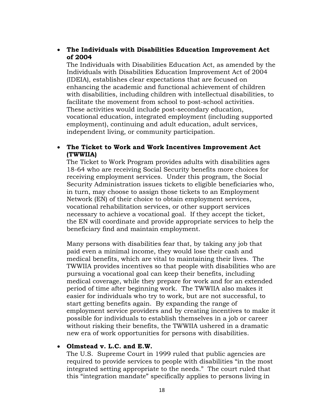#### • **The Individuals with Disabilities Education Improvement Act of 2004**

The Individuals with Disabilities Education Act, as amended by the Individuals with Disabilities Education Improvement Act of 2004 (IDEIA), establishes clear expectations that are focused on enhancing the academic and functional achievement of children with disabilities, including children with intellectual disabilities, to facilitate the movement from school to post-school activities. These activities would include post-secondary education, vocational education, integrated employment (including supported employment), continuing and adult education, adult services, independent living, or community participation.

#### • **The Ticket to Work and Work Incentives Improvement Act (TWWIIA)**

The Ticket to Work Program provides adults with disabilities ages 18-64 who are receiving Social Security benefits more choices for receiving employment services. Under this program, the Social Security Administration issues tickets to eligible beneficiaries who, in turn, may choose to assign those tickets to an Employment Network (EN) of their choice to obtain employment services, vocational rehabilitation services, or other support services necessary to achieve a vocational goal. If they accept the ticket, the EN will coordinate and provide appropriate services to help the beneficiary find and maintain employment.

Many persons with disabilities fear that, by taking any job that paid even a minimal income, they would lose their cash and medical benefits, which are vital to maintaining their lives. The TWWIIA provides incentives so that people with disabilities who are pursuing a vocational goal can keep their benefits, including medical coverage, while they prepare for work and for an extended period of time after beginning work. The TWWIIA also makes it easier for individuals who try to work, but are not successful, to start getting benefits again. By expanding the range of employment service providers and by creating incentives to make it possible for individuals to establish themselves in a job or career without risking their benefits, the TWWIIA ushered in a dramatic new era of work opportunities for persons with disabilities.

#### • **Olmstead v. L.C. and E.W.**

The U.S. Supreme Court in 1999 ruled that public agencies are required to provide services to people with disabilities "in the most integrated setting appropriate to the needs." The court ruled that this "integration mandate" specifically applies to persons living in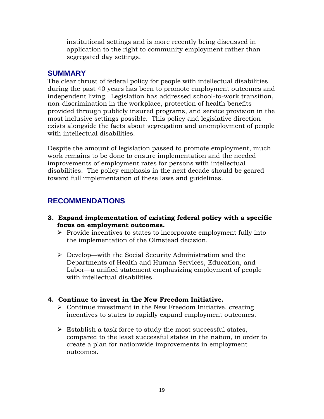institutional settings and is more recently being discussed in application to the right to community employment rather than segregated day settings.

#### **SUMMARY**

The clear thrust of federal policy for people with intellectual disabilities during the past 40 years has been to promote employment outcomes and independent living. Legislation has addressed school-to-work transition, non-discrimination in the workplace, protection of health benefits provided through publicly insured programs, and service provision in the most inclusive settings possible. This policy and legislative direction exists alongside the facts about segregation and unemployment of people with intellectual disabilities.

Despite the amount of legislation passed to promote employment, much work remains to be done to ensure implementation and the needed improvements of employment rates for persons with intellectual disabilities. The policy emphasis in the next decade should be geared toward full implementation of these laws and guidelines.

## **RECOMMENDATIONS**

- **3. Expand implementation of existing federal policy with a specific focus on employment outcomes.** 
	- $\triangleright$  Provide incentives to states to incorporate employment fully into the implementation of the Olmstead decision.
	- $\triangleright$  Develop—with the Social Security Administration and the Departments of Health and Human Services, Education, and Labor—a unified statement emphasizing employment of people with intellectual disabilities.

#### **4. Continue to invest in the New Freedom Initiative.**

- $\triangleright$  Continue investment in the New Freedom Initiative, creating incentives to states to rapidly expand employment outcomes.
- $\triangleright$  Establish a task force to study the most successful states, compared to the least successful states in the nation, in order to create a plan for nationwide improvements in employment outcomes.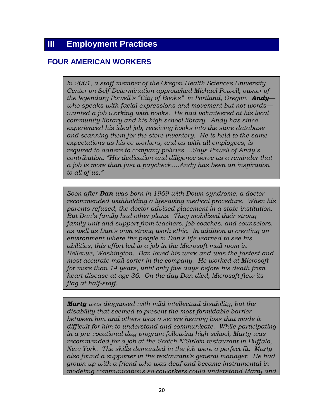## **FOUR AMERICAN WORKERS**

*In 2001, a staff member of the Oregon Health Sciences University Center on Self-Determination approached Michael Powell, owner of the legendary Powell's "City of Books" in Portland, Oregon. Andy who speaks with facial expressions and movement but not words wanted a job working with books. He had volunteered at his local community library and his high school library. Andy has since experienced his ideal job, receiving books into the store database and scanning them for the store inventory. He is held to the same expectations as his co-workers, and as with all employees, is required to adhere to company policies….Says Powell of Andy's contribution: "His dedication and diligence serve as a reminder that a job is more than just a paycheck….Andy has been an inspiration to all of us."* 

*Soon after Dan was born in 1969 with Down syndrome, a doctor recommended withholding a lifesaving medical procedure. When his parents refused, the doctor advised placement in a state institution. But Dan's family had other plans. They mobilized their strong family unit and support from teachers, job coaches, and counselors, as well as Dan's own strong work ethic. In addition to creating an environment where the people in Dan's life learned to see his abilities, this effort led to a job in the Microsoft mail room in Bellevue, Washington. Dan loved his work and was the fastest and most accurate mail sorter in the company. He worked at Microsoft for more than 14 years, until only five days before his death from heart disease at age 36. On the day Dan died, Microsoft flew its flag at half-staff.*

*Marty was diagnosed with mild intellectual disability, but the disability that seemed to present the most formidable barrier between him and others was a severe hearing loss that made it difficult for him to understand and communicate. While participating in a pre-vocational day program following high school, Marty was recommended for a job at the Scotch N'Sirloin restaurant in Buffalo, New York. The skills demanded in the job were a perfect fit. Marty also found a supporter in the restaurant's general manager. He had grown-up with a friend who was deaf and became instrumental in modeling communications so coworkers could understand Marty and*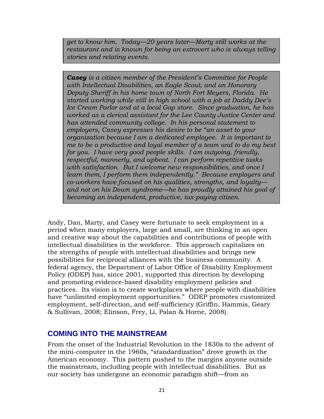*get to know him. Today—20 years later—Marty still works at the restaurant and is known for being an extrovert who is always telling stories and relating events.* 

*Casey is a citizen member of the President's Committee for People with Intellectual Disabilities, an Eagle Scout, and an Honorary Deputy Sheriff in his home town of North Fort Meyers, Florida. He started working while still in high school with a job at Daddy Dee's Ice Cream Parlor and at a local Gap store. Since graduation, he has worked as a clerical assistant for the Lee County Justice Center and has attended community college. In his personal statement to employers, Casey expresses his desire to be "an asset to your organization because I am a dedicated employee. It is important to me to be a productive and loyal member of a team and to do my best for you. I have very good people skills. I am outgoing, friendly, respectful, mannerly, and upbeat. I can perform repetitive tasks with satisfaction. But I welcome new responsibilities, and once I learn them, I perform them independently." Because employers and co-workers have focused on his qualities, strengths, and loyalty and not on his Down syndrome—he has proudly attained his goal of becoming an independent, productive, tax-paying citizen.*

Andy, Dan, Marty, and Casey were fortunate to seek employment in a period when many employers, large and small, are thinking in an open and creative way about the capabilities and contributions of people with intellectual disabilities in the workforce. This approach capitalizes on the strengths of people with intellectual disabilities and brings new possibilities for reciprocal alliances with the business community. A federal agency, the Department of Labor Office of Disability Employment Policy (ODEP) has, since 2001, supported this direction by developing and promoting evidence-based disability employment policies and practices. Its vision is to create workplaces where people with disabilities have "unlimited employment opportunities." ODEP promotes customized employment, self-direction, and self-sufficiency (Griffin, Hammis, Geary & Sullivan, 2008; Elinson, Frey, Li, Palan & Horne, 2008).

### **COMING INTO THE MAINSTREAM**

From the onset of the Industrial Revolution in the 1830s to the advent of the mini-computer in the 1960s, "standardization" drove growth in the American economy. This pattern pushed to the margins anyone outside the mainstream, including people with intellectual disabilities. But as our society has undergone an economic paradigm shift—from an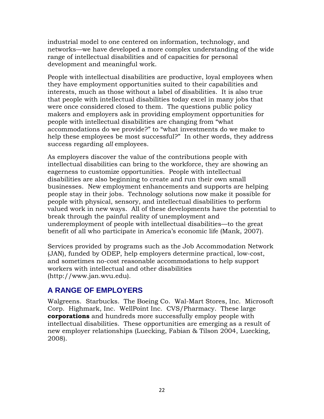industrial model to one centered on information, technology, and networks—we have developed a more complex understanding of the wide range of intellectual disabilities and of capacities for personal development and meaningful work.

People with intellectual disabilities are productive, loyal employees when they have employment opportunities suited to their capabilities and interests, much as those without a label of disabilities. It is also true that people with intellectual disabilities today excel in many jobs that were once considered closed to them. The questions public policy makers and employers ask in providing employment opportunities for people with intellectual disabilities are changing from "what accommodations do we provide?" to "what investments do we make to help these employees be most successful?" In other words, they address success regarding *all* employees.

As employers discover the value of the contributions people with intellectual disabilities can bring to the workforce, they are showing an eagerness to customize opportunities. People with intellectual disabilities are also beginning to create and run their own small businesses. New employment enhancements and supports are helping people stay in their jobs. Technology solutions now make it possible for people with physical, sensory, and intellectual disabilities to perform valued work in new ways. All of these developments have the potential to break through the painful reality of unemployment and underemployment of people with intellectual disabilities—to the great benefit of all who participate in America's economic life (Mank, 2007).

Services provided by programs such as the Job Accommodation Network (JAN), funded by ODEP, help employers determine practical, low-cost, and sometimes no-cost reasonable accommodations to help support workers with intellectual and other disabilities (http://www.jan.wvu.edu).

## **A RANGE OF EMPLOYERS**

Walgreens. Starbucks. The Boeing Co. Wal-Mart Stores, Inc. Microsoft Corp. Highmark, Inc. WellPoint Inc. CVS/Pharmacy. These large **corporations** and hundreds more successfully employ people with intellectual disabilities. These opportunities are emerging as a result of new employer relationships (Luecking, Fabian & Tilson 2004, Luecking, 2008).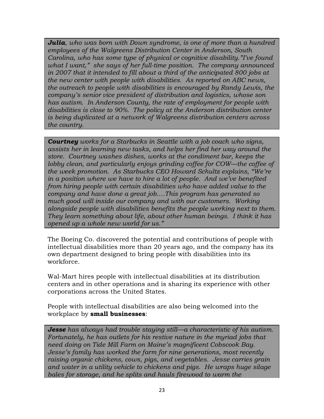*Julia, who was born with Down syndrome, is one of more than a hundred employees of the Walgreens Distribution Center in Anderson, South Carolina, who has some type of physical or cognitive disability."I've found what I want," she says of her full-time position. The company announced in 2007 that it intended to fill about a third of the anticipated 800 jobs at the new center with people with disabilities. As reported on ABC news, the outreach to people with disabilities is encouraged by Randy Lewis, the company's senior vice president of distribution and logistics, whose son has autism. In Anderson County, the rate of employment for people with disabilities is close to 90%. The policy at the Anderson distribution center is being duplicated at a network of Walgreens distribution centers across the country.* 

*Courtney works for a Starbucks in Seattle with a job coach who signs, assists her in learning new tasks, and helps her find her way around the store. Courtney washes dishes, works at the condiment bar, keeps the lobby clean, and particularly enjoys grinding coffee for COW—the coffee of the week promotion. As Starbucks CEO Howard Schultz explains, "We're in a position where we have to hire a lot of people. And we've benefited from hiring people with certain disabilities who have added value to the company and have done a great job….This program has generated so much good will inside our company and with our customers. Working alongside people with disabilities benefits the people working next to them. They learn something about life, about other human beings. I think it has opened up a whole new world for us."* 

The Boeing Co. discovered the potential and contributions of people with intellectual disabilities more than 20 years ago, and the company has its own department designed to bring people with disabilities into its workforce.

Wal-Mart hires people with intellectual disabilities at its distribution centers and in other operations and is sharing its experience with other corporations across the United States.

People with intellectual disabilities are also being welcomed into the workplace by **small businesses**:

*Jesse has always had trouble staying still—a characteristic of his autism. Fortunately, he has outlets for his restive nature in the myriad jobs that need doing on Tide Mill Farm on Maine's magnificent Cobscook Bay. Jesse's family has worked the farm for nine generations, most recently raising organic chickens, cows, pigs, and vegetables. Jesse carries grain and water in a utility vehicle to chickens and pigs. He wraps huge silage bales for storage, and he splits and hauls firewood to warm the*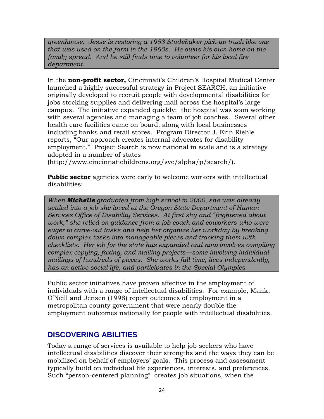*greenhouse. Jesse is restoring a 1953 Studebaker pick-up truck like one that was used on the farm in the 1960s. He owns his own home on the family spread. And he still finds time to volunteer for his local fire department.*

In the **non-profit sector,** Cincinnati's Children's Hospital Medical Center launched a highly successful strategy in Project SEARCH, an initiative originally developed to recruit people with developmental disabilities for jobs stocking supplies and delivering mail across the hospital's large campus. The initiative expanded quickly: the hospital was soon working with several agencies and managing a team of job coaches. Several other health care facilities came on board, along with local businesses including banks and retail stores. Program Director J. Erin Riehle reports, "Our approach creates internal advocates for disability employment." Project Search is now national in scale and is a strategy adopted in a number of states

(http://www.cincinnatichildrens.org/svc/alpha/p/search/).

**Public sector** agencies were early to welcome workers with intellectual disabilities:

*When Michelle graduated from high school in 2000, she was already settled into a job she loved at the Oregon State Department of Human Services Office of Disability Services. At first shy and "frightened about work," she relied on guidance from a job coach and coworkers who were eager to carve-out tasks and help her organize her workday by breaking down complex tasks into manageable pieces and tracking them with checklists. Her job for the state has expanded and now involves compiling complex copying, faxing, and mailing projects—some involving individual mailings of hundreds of pieces. She works full-time, lives independently, has an active social life, and participates in the Special Olympics*.

Public sector initiatives have proven effective in the employment of individuals with a range of intellectual disabilities. For example, Mank, O'Neill and Jensen (1998) report outcomes of employment in a metropolitan county government that were nearly double the employment outcomes nationally for people with intellectual disabilities.

## **DISCOVERING ABILITIES**

Today a range of services is available to help job seekers who have intellectual disabilities discover their strengths and the ways they can be mobilized on behalf of employers' goals. This process and assessment typically build on individual life experiences, interests, and preferences. Such "person-centered planning" creates job situations, when the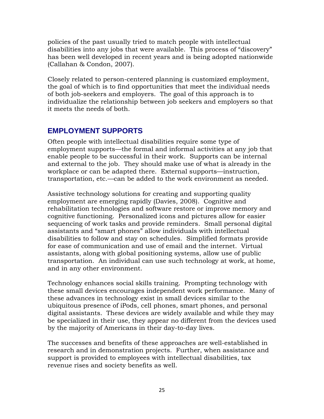policies of the past usually tried to match people with intellectual disabilities into any jobs that were available. This process of "discovery" has been well developed in recent years and is being adopted nationwide (Callahan & Condon, 2007).

Closely related to person-centered planning is customized employment, the goal of which is to find opportunities that meet the individual needs of both job-seekers and employers. The goal of this approach is to individualize the relationship between job seekers and employers so that it meets the needs of both.

## **EMPLOYMENT SUPPORTS**

Often people with intellectual disabilities require some type of employment supports—the formal and informal activities at any job that enable people to be successful in their work. Supports can be internal and external to the job. They should make use of what is already in the workplace or can be adapted there. External supports—instruction, transportation, etc.—can be added to the work environment as needed.

Assistive technology solutions for creating and supporting quality employment are emerging rapidly (Davies, 2008). Cognitive and rehabilitation technologies and software restore or improve memory and cognitive functioning. Personalized icons and pictures allow for easier sequencing of work tasks and provide reminders. Small personal digital assistants and "smart phones" allow individuals with intellectual disabilities to follow and stay on schedules. Simplified formats provide for ease of communication and use of email and the internet. Virtual assistants, along with global positioning systems, allow use of public transportation. An individual can use such technology at work, at home, and in any other environment.

Technology enhances social skills training. Prompting technology with these small devices encourages independent work performance. Many of these advances in technology exist in small devices similar to the ubiquitous presence of iPods, cell phones, smart phones, and personal digital assistants. These devices are widely available and while they may be specialized in their use, they appear no different from the devices used by the majority of Americans in their day-to-day lives.

The successes and benefits of these approaches are well-established in research and in demonstration projects. Further, when assistance and support is provided to employees with intellectual disabilities, tax revenue rises and society benefits as well.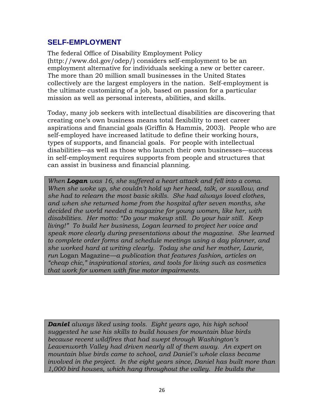## **SELF-EMPLOYMENT**

The federal Office of Disability Employment Policy (http://www.dol.gov/odep/) considers self-employment to be an employment alternative for individuals seeking a new or better career. The more than 20 million small businesses in the United States collectively are the largest employers in the nation. Self-employment is the ultimate customizing of a job, based on passion for a particular mission as well as personal interests, abilities, and skills.

Today, many job seekers with intellectual disabilities are discovering that creating one's own business means total flexibility to meet career aspirations and financial goals (Griffin & Hammis, 2003). People who are self-employed have increased latitude to define their working hours, types of supports, and financial goals. For people with intellectual disabilities—as well as those who launch their own businesses—success in self-employment requires supports from people and structures that can assist in business and financial planning.

*When Logan was 16, she suffered a heart attack and fell into a coma. When she woke up, she couldn't hold up her head, talk, or swallow, and she had to relearn the most basic skills. She had always loved clothes, and when she returned home from the hospital after seven months, she decided the world needed a magazine for young women, like her, with disabilities. Her motto: "Do your makeup still. Do your hair still. Keep living!" To build her business, Logan learned to project her voice and speak more clearly during presentations about the magazine. She learned to complete order forms and schedule meetings using a day planner, and she worked hard at writing clearly. Today she and her mother, Laurie, run* Logan Magazine*—a publication that features fashion, articles on "cheap chic," inspirational stories, and tools for living such as cosmetics that work for women with fine motor impairments.*

*Daniel always liked using tools. Eight years ago, his high school suggested he use his skills to build houses for mountain blue birds because recent wildfires that had swept through Washington's Leavenworth Valley had driven nearly all of them away. An expert on mountain blue birds came to school, and Daniel's whole class became involved in the project. In the eight years since, Daniel has built more than 1,000 bird houses, which hang throughout the valley. He builds the*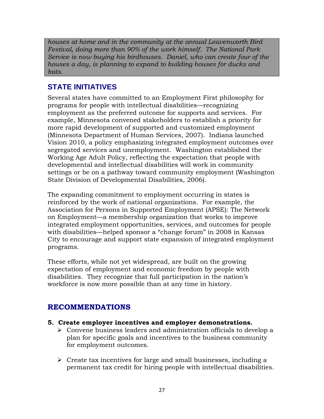*houses at home and in the community at the annual Leavenworth Bird Festival, doing more than 90% of the work himself. The National Park Service is now buying his birdhouses. Daniel, who can create four of the houses a day, is planning to expand to building houses for ducks and bats.* 

## **STATE INITIATIVES**

Several states have committed to an Employment First philosophy for programs for people with intellectual disabilities—recognizing employment as the preferred outcome for supports and services. For example, Minnesota convened stakeholders to establish a priority for more rapid development of supported and customized employment (Minnesota Department of Human Services, 2007). Indiana launched Vision 2010, a policy emphasizing integrated employment outcomes over segregated services and unemployment. Washington established the Working Age Adult Policy, reflecting the expectation that people with developmental and intellectual disabilities will work in community settings or be on a pathway toward community employment (Washington State Division of Developmental Disabilities, 2006).

The expanding commitment to employment occurring in states is reinforced by the work of national organizations. For example, the Association for Persons in Supported Employment (APSE): The Network on Employment—a membership organization that works to improve integrated employment opportunities, services, and outcomes for people with disabilities—helped sponsor a "change forum" in 2008 in Kansas City to encourage and support state expansion of integrated employment programs.

These efforts, while not yet widespread, are built on the growing expectation of employment and economic freedom by people with disabilities. They recognize that full participation in the nation's workforce is now more possible than at any time in history.

## **RECOMMENDATIONS**

- **5. Create employer incentives and employer demonstrations.** 
	- Convene business leaders and administration officials to develop a plan for specific goals and incentives to the business community for employment outcomes.
	- $\triangleright$  Create tax incentives for large and small businesses, including a permanent tax credit for hiring people with intellectual disabilities.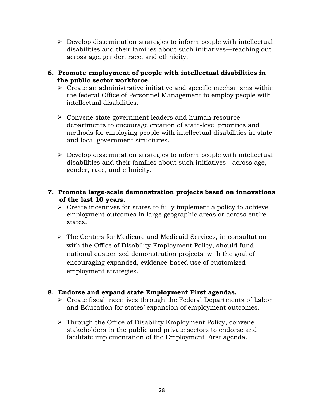- $\triangleright$  Develop dissemination strategies to inform people with intellectual disabilities and their families about such initiatives—reaching out across age, gender, race, and ethnicity.
- **6. Promote employment of people with intellectual disabilities in the public sector workforce.** 
	- $\triangleright$  Create an administrative initiative and specific mechanisms within the federal Office of Personnel Management to employ people with intellectual disabilities.
	- Convene state government leaders and human resource departments to encourage creation of state-level priorities and methods for employing people with intellectual disabilities in state and local government structures.
	- $\triangleright$  Develop dissemination strategies to inform people with intellectual disabilities and their families about such initiatives—across age, gender, race, and ethnicity.
- **7. Promote large-scale demonstration projects based on innovations of the last 10 years.** 
	- $\triangleright$  Create incentives for states to fully implement a policy to achieve employment outcomes in large geographic areas or across entire states.
	- The Centers for Medicare and Medicaid Services, in consultation with the Office of Disability Employment Policy, should fund national customized demonstration projects, with the goal of encouraging expanded, evidence-based use of customized employment strategies.

#### **8. Endorse and expand state Employment First agendas.**

- $\triangleright$  Create fiscal incentives through the Federal Departments of Labor and Education for states' expansion of employment outcomes.
- $\triangleright$  Through the Office of Disability Employment Policy, convene stakeholders in the public and private sectors to endorse and facilitate implementation of the Employment First agenda.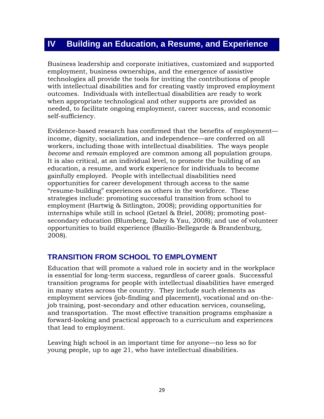## **IV Building an Education, a Resume, and Experience**

Business leadership and corporate initiatives, customized and supported employment, business ownerships, and the emergence of assistive technologies all provide the tools for inviting the contributions of people with intellectual disabilities and for creating vastly improved employment outcomes. Individuals with intellectual disabilities are ready to work when appropriate technological and other supports are provided as needed, to facilitate ongoing employment, career success, and economic self-sufficiency.

Evidence-based research has confirmed that the benefits of employment income, dignity, socialization, and independence—are conferred on all workers, including those with intellectual disabilities. The ways people *become* and *remain* employed are common among all population groups. It is also critical, at an individual level, to promote the building of an education, a resume, and work experience for individuals to become gainfully employed. People with intellectual disabilities need opportunities for career development through access to the same "resume-building" experiences as others in the workforce. These strategies include: promoting successful transition from school to employment (Hartwig & Sitlington, 2008); providing opportunities for internships while still in school (Getzel & Briel, 2008); promoting postsecondary education (Blumberg, Daley & Yau, 2008); and use of volunteer opportunities to build experience (Bazilio-Bellegarde & Brandenburg, 2008).

#### **TRANSITION FROM SCHOOL TO EMPLOYMENT**

Education that will promote a valued role in society and in the workplace is essential for long-term success, regardless of career goals. Successful transition programs for people with intellectual disabilities have emerged in many states across the country. They include such elements as employment services (job-finding and placement), vocational and on-thejob training, post-secondary and other education services, counseling, and transportation. The most effective transition programs emphasize a forward-looking and practical approach to a curriculum and experiences that lead to employment.

Leaving high school is an important time for anyone—no less so for young people, up to age 21, who have intellectual disabilities.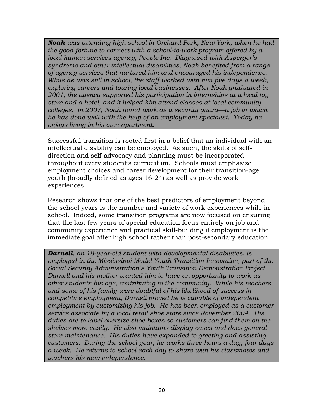*Noah was attending high school in Orchard Park, New York, when he had the good fortune to connect with a school-to-work program offered by a local human services agency, People Inc. Diagnosed with Asperger's syndrome and other intellectual disabilities, Noah benefited from a range of agency services that nurtured him and encouraged his independence. While he was still in school, the staff worked with him five days a week, exploring careers and touring local businesses. After Noah graduated in 2001, the agency supported his participation in internships at a local toy store and a hotel, and it helped him attend classes at local community colleges. In 2007, Noah found work as a security guard—a job in which he has done well with the help of an employment specialist. Today he enjoys living in his own apartment.* 

Successful transition is rooted first in a belief that an individual with an intellectual disability can be employed. As such, the skills of selfdirection and self-advocacy and planning must be incorporated throughout every student's curriculum. Schools must emphasize employment choices and career development for their transition-age youth (broadly defined as ages 16-24) as well as provide work experiences.

Research shows that one of the best predictors of employment beyond the school years is the number and variety of work experiences while in school. Indeed, some transition programs are now focused on ensuring that the last few years of special education focus entirely on job and community experience and practical skill-building if employment is the immediate goal after high school rather than post-secondary education.

*Darnell, an 18-year-old student with developmental disabilities, is employed in the Mississippi Model Youth Transition Innovation, part of the Social Security Administration's Youth Transition Demonstration Project. Darnell and his mother wanted him to have an opportunity to work as other students his age, contributing to the community. While his teachers and some of his family were doubtful of his likelihood of success in competitive employment, Darnell proved he is capable of independent employment by customizing his job. He has been employed as a customer service associate by a local retail shoe store since November 2004. His duties are to label oversize shoe boxes so customers can find them on the shelves more easily. He also maintains display cases and does general store maintenance. His duties have expanded to greeting and assisting customers. During the school year, he works three hours a day, four days a week. He returns to school each day to share with his classmates and teachers his new independence.*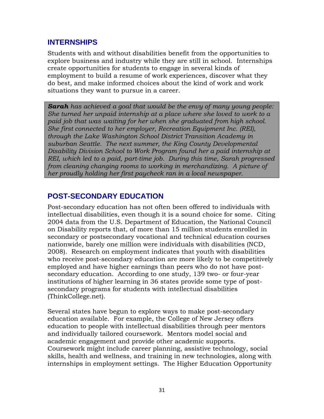## **INTERNSHIPS**

Students with and without disabilities benefit from the opportunities to explore business and industry while they are still in school. Internships create opportunities for students to engage in several kinds of employment to build a resume of work experiences, discover what they do best, and make informed choices about the kind of work and work situations they want to pursue in a career.

*Sarah has achieved a goal that would be the envy of many young people: She turned her unpaid internship at a place where she loved to work to a paid job that was waiting for her when she graduated from high school. She first connected to her employer, Recreation Equipment Inc. (REI), through the Lake Washington School District Transition Academy in suburban Seattle. The next summer, the King County Developmental Disability Division School to Work Program found her a paid internship at REI, which led to a paid, part-time job. During this time, Sarah progressed from cleaning changing rooms to working in merchandizing. A picture of her proudly holding her first paycheck ran in a local newspaper.* 

## **POST-SECONDARY EDUCATION**

Post-secondary education has not often been offered to individuals with intellectual disabilities, even though it is a sound choice for some. Citing 2004 data from the U.S. Department of Education, the National Council on Disability reports that, of more than 15 million students enrolled in secondary or postsecondary vocational and technical education courses nationwide, barely one million were individuals with disabilities (NCD, 2008). Research on employment indicates that youth with disabilities who receive post-secondary education are more likely to be competitively employed and have higher earnings than peers who do not have postsecondary education. According to one study, 139 two- or four-year institutions of higher learning in 36 states provide some type of postsecondary programs for students with intellectual disabilities (ThinkCollege.net).

Several states have begun to explore ways to make post-secondary education available. For example, the College of New Jersey offers education to people with intellectual disabilities through peer mentors and individually tailored coursework. Mentors model social and academic engagement and provide other academic supports. Coursework might include career planning, assistive technology, social skills, health and wellness, and training in new technologies, along with internships in employment settings. The Higher Education Opportunity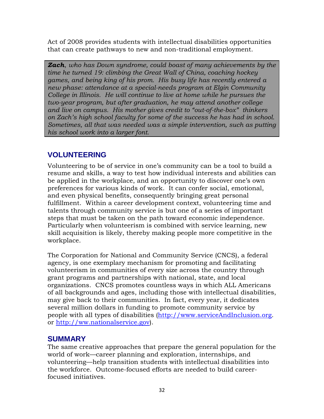Act of 2008 provides students with intellectual disabilities opportunities that can create pathways to new and non-traditional employment.

*Zach*, *who has Down syndrome, could boast of many achievements by the time he turned 19: climbing the Great Wall of China, coaching hockey games, and being king of his prom. His busy life has recently entered a new phase: attendance at a special-needs program at Elgin Community College in Illinois. He will continue to live at home while he pursues the two-year program, but after graduation, he may attend another college and live on campus. His mother gives credit to "out-of-the-box" thinkers on Zach's high school faculty for some of the success he has had in school. Sometimes, all that was needed was a simple intervention, such as putting his school work into a larger font.*

## **VOLUNTEERING**

Volunteering to be of service in one's community can be a tool to build a resume and skills, a way to test how individual interests and abilities can be applied in the workplace, and an opportunity to discover one's own preferences for various kinds of work. It can confer social, emotional, and even physical benefits, consequently bringing great personal fulfillment. Within a career development context, volunteering time and talents through community service is but one of a series of important steps that must be taken on the path toward economic independence. Particularly when volunteerism is combined with service learning, new skill acquisition is likely, thereby making people more competitive in the workplace.

The Corporation for National and Community Service (CNCS), a federal agency, is one exemplary mechanism for promoting and facilitating volunteerism in communities of every size across the country through grant programs and partnerships with national, state, and local organizations. CNCS promotes countless ways in which ALL Americans of all backgrounds and ages, including those with intellectual disabilities, may give back to their communities. In fact, every year, it dedicates several million dollars in funding to promote community service by people with all types of disabilities [\(http://www.serviceAndInclusion.org.](http://www.serviceandinclusion.org/) or http://ww.nationalservice.gov).

### **SUMMARY**

The same creative approaches that prepare the general population for the world of work—career planning and exploration, internships, and volunteering—help transition students with intellectual disabilities into the workforce. Outcome-focused efforts are needed to build careerfocused initiatives.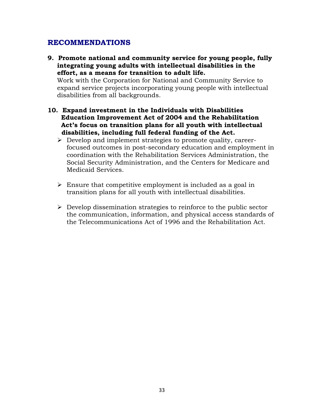#### **RECOMMENDATIONS**

**9. Promote national and community service for young people, fully integrating young adults with intellectual disabilities in the effort, as a means for transition to adult life.** 

Work with the Corporation for National and Community Service to expand service projects incorporating young people with intellectual disabilities from all backgrounds.

- **10. Expand investment in the Individuals with Disabilities Education Improvement Act of 2004 and the Rehabilitation Act's focus on transition plans for all youth with intellectual disabilities, including full federal funding of the Act.** 
	- $\triangleright$  Develop and implement strategies to promote quality, careerfocused outcomes in post-secondary education and employment in coordination with the Rehabilitation Services Administration, the Social Security Administration, and the Centers for Medicare and Medicaid Services.
	- $\triangleright$  Ensure that competitive employment is included as a goal in transition plans for all youth with intellectual disabilities.
	- $\triangleright$  Develop dissemination strategies to reinforce to the public sector the communication, information, and physical access standards of the Telecommunications Act of 1996 and the Rehabilitation Act.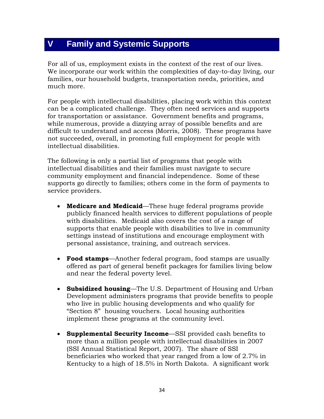## **V Family and Systemic Supports**

For all of us, employment exists in the context of the rest of our lives. We incorporate our work within the complexities of day-to-day living, our families, our household budgets, transportation needs, priorities, and much more.

For people with intellectual disabilities, placing work within this context can be a complicated challenge. They often need services and supports for transportation or assistance. Government benefits and programs, while numerous, provide a dizzying array of possible benefits and are difficult to understand and access (Morris, 2008). These programs have not succeeded, overall, in promoting full employment for people with intellectual disabilities.

The following is only a partial list of programs that people with intellectual disabilities and their families must navigate to secure community employment and financial independence. Some of these supports go directly to families; others come in the form of payments to service providers.

- **Medicare and Medicaid**—These huge federal programs provide publicly financed health services to different populations of people with disabilities. Medicaid also covers the cost of a range of supports that enable people with disabilities to live in community settings instead of institutions and encourage employment with personal assistance, training, and outreach services.
- **Food stamps**—Another federal program, food stamps are usually offered as part of general benefit packages for families living below and near the federal poverty level.
- **Subsidized housing**—The U.S. Department of Housing and Urban Development administers programs that provide benefits to people who live in public housing developments and who qualify for "Section 8" housing vouchers. Local housing authorities implement these programs at the community level.
- **Supplemental Security Income**—SSI provided cash benefits to more than a million people with intellectual disabilities in 2007 (SSI Annual Statistical Report, 2007). The share of SSI beneficiaries who worked that year ranged from a low of 2.7% in Kentucky to a high of 18.5% in North Dakota. A significant work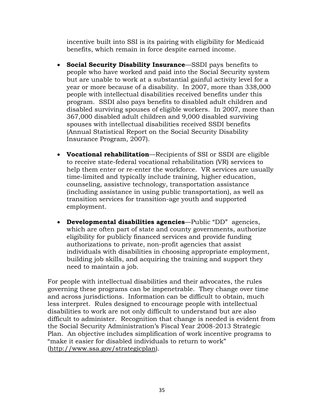incentive built into SSI is its pairing with eligibility for Medicaid benefits, which remain in force despite earned income.

- **Social Security Disability Insurance**—SSDI pays benefits to people who have worked and paid into the Social Security system but are unable to work at a substantial gainful activity level for a year or more because of a disability. In 2007, more than 338,000 people with intellectual disabilities received benefits under this program. SSDI also pays benefits to disabled adult children and disabled surviving spouses of eligible workers. In 2007, more than 367,000 disabled adult children and 9,000 disabled surviving spouses with intellectual disabilities received SSDI benefits (Annual Statistical Report on the Social Security Disability Insurance Program, 2007).
- **Vocational rehabilitation**—Recipients of SSI or SSDI are eligible to receive state-federal vocational rehabilitation (VR) services to help them enter or re-enter the workforce. VR services are usually time-limited and typically include training, higher education, counseling, assistive technology, transportation assistance (including assistance in using public transportation), as well as transition services for transition-age youth and supported employment.
- **Developmental disabilities agencies**—Public "DD" agencies, which are often part of state and county governments, authorize eligibility for publicly financed services and provide funding authorizations to private, non-profit agencies that assist individuals with disabilities in choosing appropriate employment, building job skills, and acquiring the training and support they need to maintain a job.

For people with intellectual disabilities and their advocates, the rules governing these programs can be impenetrable. They change over time and across jurisdictions. Information can be difficult to obtain, much less interpret. Rules designed to encourage people with intellectual disabilities to work are not only difficult to understand but are also difficult to administer. Recognition that change is needed is evident from the Social Security Administration's Fiscal Year 2008-2013 Strategic Plan. An objective includes simplification of work incentive programs to "make it easier for disabled individuals to return to work" (http://www.ssa.gov/strategicplan).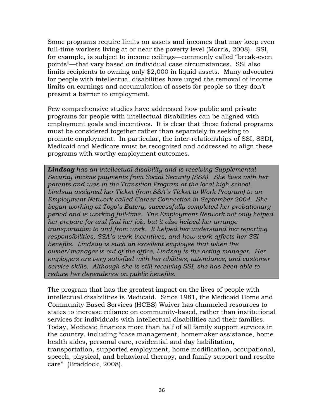Some programs require limits on assets and incomes that may keep even full-time workers living at or near the poverty level (Morris, 2008). SSI, for example, is subject to income ceilings—commonly called "break-even points"—that vary based on individual case circumstances. SSI also limits recipients to owning only \$2,000 in liquid assets. Many advocates for people with intellectual disabilities have urged the removal of income limits on earnings and accumulation of assets for people so they don't present a barrier to employment.

Few comprehensive studies have addressed how public and private programs for people with intellectual disabilities can be aligned with employment goals and incentives. It is clear that these federal programs must be considered together rather than separately in seeking to promote employment. In particular, the inter-relationships of SSI, SSDI, Medicaid and Medicare must be recognized and addressed to align these programs with worthy employment outcomes.

*Lindsay has an intellectual disability and is receiving Supplemental Security Income payments from Social Security (SSA). She lives with her parents and was in the Transition Program at the local high school. Lindsay assigned her Ticket (from SSA's Ticket to Work Program) to an Employment Network called Career Connection in September 2004. She began working at Togo's Eatery, successfully completed her probationary period and is working full-time. The Employment Network not only helped her prepare for and find her job, but it also helped her arrange transportation to and from work. It helped her understand her reporting responsibilities, SSA's work incentives, and how work affects her SSI benefits. Lindsay is such an excellent employee that when the owner/manager is out of the office, Lindsay is the acting manager. Her employers are very satisfied with her abilities, attendance, and customer service skills. Although she is still receiving SSI, she has been able to reduce her dependence on public benefits.* 

The program that has the greatest impact on the lives of people with intellectual disabilities is Medicaid. Since 1981, the Medicaid Home and Community Based Services (HCBS) Waiver has channeled resources to states to increase reliance on community-based, rather than institutional services for individuals with intellectual disabilities and their families. Today, Medicaid finances more than half of all family support services in the country, including "case management, homemaker assistance, home health aides, personal care, residential and day habilitation, transportation, supported employment, home modification, occupational, speech, physical, and behavioral therapy, and family support and respite care" (Braddock, 2008).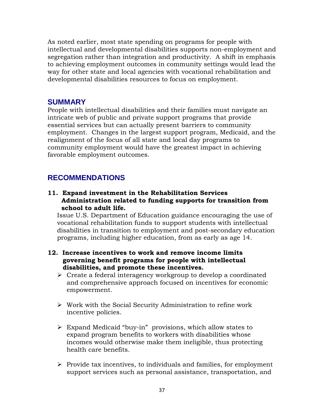As noted earlier, most state spending on programs for people with intellectual and developmental disabilities supports non-employment and segregation rather than integration and productivity. A shift in emphasis to achieving employment outcomes in community settings would lead the way for other state and local agencies with vocational rehabilitation and developmental disabilities resources to focus on employment.

## **SUMMARY**

People with intellectual disabilities and their families must navigate an intricate web of public and private support programs that provide essential services but can actually present barriers to community employment. Changes in the largest support program, Medicaid, and the realignment of the focus of all state and local day programs to community employment would have the greatest impact in achieving favorable employment outcomes.

## **RECOMMENDATIONS**

#### **11. Expand investment in the Rehabilitation Services Administration related to funding supports for transition from school to adult life.**

Issue U.S. Department of Education guidance encouraging the use of vocational rehabilitation funds to support students with intellectual disabilities in transition to employment and post-secondary education programs, including higher education, from as early as age 14.

#### **12. Increase incentives to work and remove income limits governing benefit programs for people with intellectual disabilities, and promote these incentives.**

- $\triangleright$  Create a federal interagency workgroup to develop a coordinated and comprehensive approach focused on incentives for economic empowerment.
- $\triangleright$  Work with the Social Security Administration to refine work incentive policies.
- $\triangleright$  Expand Medicaid "buy-in" provisions, which allow states to expand program benefits to workers with disabilities whose incomes would otherwise make them ineligible, thus protecting health care benefits.
- $\triangleright$  Provide tax incentives, to individuals and families, for employment support services such as personal assistance, transportation, and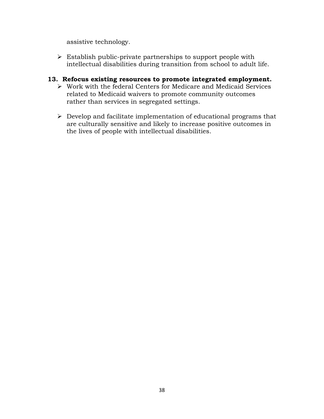assistive technology.

 $\triangleright$  Establish public-private partnerships to support people with intellectual disabilities during transition from school to adult life.

#### **13. Refocus existing resources to promote integrated employment.**

- Work with the federal Centers for Medicare and Medicaid Services related to Medicaid waivers to promote community outcomes rather than services in segregated settings.
- $\triangleright$  Develop and facilitate implementation of educational programs that are culturally sensitive and likely to increase positive outcomes in the lives of people with intellectual disabilities.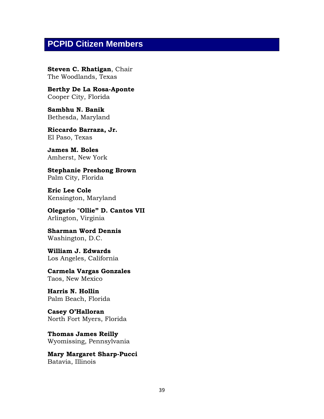## **PCPID Citizen Members**

**Steven C. Rhatigan**, Chair The Woodlands, Texas

**Berthy De La Rosa-Aponte** Cooper City, Florida

**Sambhu N. Banik** Bethesda, Maryland

**Riccardo Barraza, Jr.** El Paso, Texas

**James M. Boles** Amherst, New York

**Stephanie Preshong Brown** Palm City, Florida

**Eric Lee Cole** Kensington, Maryland

**Olegario "Ollie" D. Cantos VII** Arlington, Virginia

**Sharman Word Dennis** Washington, D.C.

**William J. Edwards** Los Angeles, California

**Carmela Vargas Gonzales** Taos, New Mexico

**Harris N. Hollin** Palm Beach, Florida

**Casey O'Halloran** North Fort Myers, Florida

**Thomas James Reilly** Wyomissing, Pennsylvania

**Mary Margaret Sharp-Pucci** Batavia, Illinois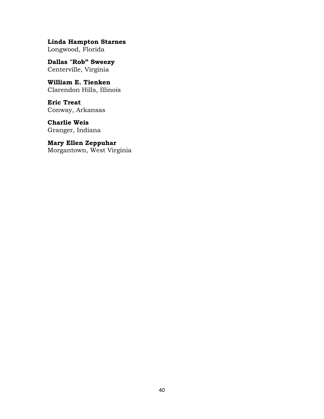**Linda Hampton Starnes** Longwood, Florida

**Dallas "Rob" Sweezy** Centerville, Virginia

**William E. Tienken** Clarendon Hills, Illinois

**Eric Treat** Conway, Arkansas

**Charlie Weis** Granger, Indiana

**Mary Ellen Zeppuhar** Morgantown, West Virginia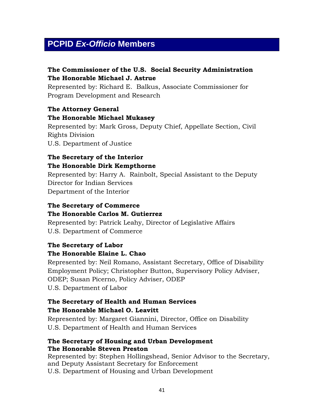## **PCPID** *Ex-Officio* **Members**

### **The Commissioner of the U.S. Social Security Administration The Honorable Michael J. Astrue**

Represented by: Richard E. Balkus, Associate Commissioner for Program Development and Research

## **The Attorney General The Honorable Michael Mukasey**

Represented by: Mark Gross, Deputy Chief, Appellate Section, Civil Rights Division U.S. Department of Justice

### **The Secretary of the Interior The Honorable Dirk Kempthorne**

Represented by: Harry A. Rainbolt, Special Assistant to the Deputy Director for Indian Services Department of the Interior

#### **The Secretary of Commerce The Honorable Carlos M. Gutierrez**

Represented by: Patrick Leahy, Director of Legislative Affairs U.S. Department of Commerce

#### **The Secretary of Labor**

### **The Honorable Elaine L. Chao**

Represented by: Neil Romano, Assistant Secretary, Office of Disability Employment Policy; Christopher Button, Supervisory Policy Adviser, ODEP; Susan Picerno, Policy Adviser, ODEP U.S. Department of Labor

#### **The Secretary of Health and Human Services The Honorable Michael O. Leavitt**

Represented by: Margaret Giannini, Director, Office on Disability U.S. Department of Health and Human Services

#### **The Secretary of Housing and Urban Development The Honorable Steven Preston**

Represented by: Stephen Hollingshead, Senior Advisor to the Secretary, and Deputy Assistant Secretary for Enforcement U.S. Department of Housing and Urban Development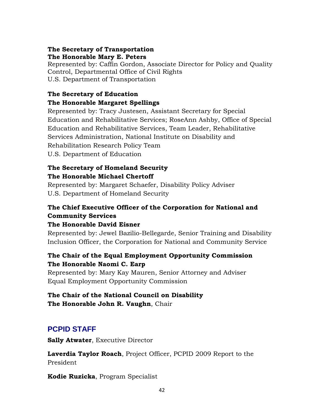#### **The Secretary of Transportation The Honorable Mary E. Peters**

Represented by: Caffin Gordon, Associate Director for Policy and Quality Control, Departmental Office of Civil Rights U.S. Department of Transportation

#### **The Secretary of Education**

#### **The Honorable Margaret Spellings**

Represented by: Tracy Justesen, Assistant Secretary for Special Education and Rehabilitative Services; RoseAnn Ashby, Office of Special Education and Rehabilitative Services, Team Leader, Rehabilitative Services Administration, National Institute on Disability and Rehabilitation Research Policy Team U.S. Department of Education

## **The Secretary of Homeland Security The Honorable Michael Chertoff**

Represented by: Margaret Schaefer, Disability Policy Adviser U.S. Department of Homeland Security

## **The Chief Executive Officer of the Corporation for National and Community Services**

#### **The Honorable David Eisner**

Represented by: Jewel Bazilio-Bellegarde, Senior Training and Disability Inclusion Officer, the Corporation for National and Community Service

### **The Chair of the Equal Employment Opportunity Commission The Honorable Naomi C. Earp**

Represented by: Mary Kay Mauren, Senior Attorney and Adviser Equal Employment Opportunity Commission

#### **The Chair of the National Council on Disability The Honorable John R. Vaughn**, Chair

## **PCPID STAFF**

**Sally Atwater**, Executive Director

**Laverdia Taylor Roach**, Project Officer, PCPID 2009 Report to the President

**Kodie Ruzicka**, Program Specialist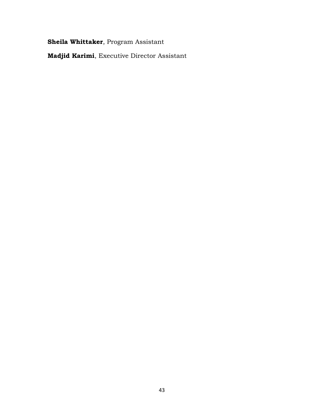**Sheila Whittaker**, Program Assistant

**Madjid Karimi**, Executive Director Assistant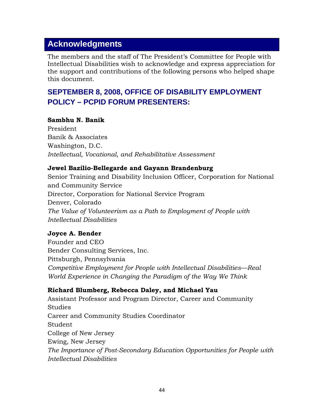## **Acknowledgments**

The members and the staff of The President's Committee for People with Intellectual Disabilities wish to acknowledge and express appreciation for the support and contributions of the following persons who helped shape this document.

## **SEPTEMBER 8, 2008, OFFICE OF DISABILITY EMPLOYMENT POLICY – PCPID FORUM PRESENTERS:**

#### **Sambhu N. Banik**

President Banik & Associates Washington, D.C. *Intellectual, Vocational, and Rehabilitative Assessment*

#### **Jewel Bazilio-Bellegarde and Gayann Brandenburg**

Senior Training and Disability Inclusion Officer, Corporation for National and Community Service Director, Corporation for National Service Program Denver, Colorado *The Value of Volunteerism as a Path to Employment of People with Intellectual Disabilities*

#### **Joyce A. Bender**

Founder and CEO Bender Consulting Services, Inc. Pittsburgh, Pennsylvania *Competitive Employment for People with Intellectual Disabilities—Real World Experience in Changing the Paradigm of the Way We Think*

#### **Richard Blumberg, Rebecca Daley, and Michael Yau**

Assistant Professor and Program Director, Career and Community **Studies** Career and Community Studies Coordinator Student College of New Jersey Ewing, New Jersey *The Importance of Post-Secondary Education Opportunities for People with Intellectual Disabilities*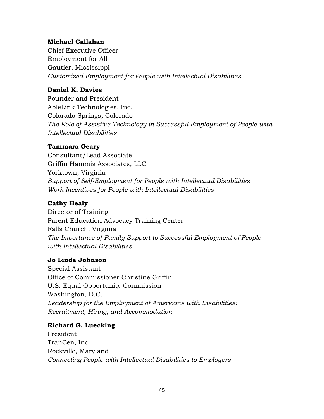#### **Michael Callahan**

Chief Executive Officer Employment for All Gautier, Mississippi *Customized Employment for People with Intellectual Disabilities* 

#### **Daniel K. Davies**

Founder and President AbleLink Technologies, Inc. Colorado Springs, Colorado *The Role of Assistive Technology in Successful Employment of People with Intellectual Disabilities*

#### **Tammara Geary**

Consultant/Lead Associate Griffin Hammis Associates, LLC Yorktown, Virginia *Support of Self-Employment for People with Intellectual Disabilities Work Incentives for People with Intellectual Disabilities*

#### **Cathy Healy**

Director of Training Parent Education Advocacy Training Center Falls Church, Virginia *The Importance of Family Support to Successful Employment of People with Intellectual Disabilities*

#### **Jo Linda Johnson**

Special Assistant Office of Commissioner Christine Griffin U.S. Equal Opportunity Commission Washington, D.C. *Leadership for the Employment of Americans with Disabilities: Recruitment, Hiring, and Accommodation*

#### **Richard G. Luecking**

President TranCen, Inc. Rockville, Maryland *Connecting People with Intellectual Disabilities to Employers*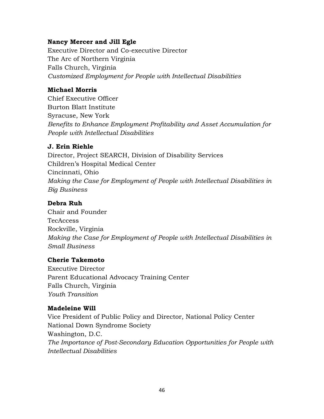#### **Nancy Mercer and Jill Egle**

Executive Director and Co-executive Director The Arc of Northern Virginia Falls Church, Virginia *Customized Employment for People with Intellectual Disabilities* 

#### **Michael Morris**

Chief Executive Officer Burton Blatt Institute Syracuse, New York *Benefits to Enhance Employment Profitability and Asset Accumulation for People with Intellectual Disabilities*

#### **J. Erin Riehle**

Director, Project SEARCH, Division of Disability Services Children's Hospital Medical Center Cincinnati, Ohio *Making the Case for Employment of People with Intellectual Disabilities in Big Business*

#### **Debra Ruh**

Chair and Founder **TecAccess** Rockville, Virginia *Making the Case for Employment of People with Intellectual Disabilities in Small Business*

#### **Cherie Takemoto**

Executive Director Parent Educational Advocacy Training Center Falls Church, Virginia *Youth Transition*

#### **Madeleine Will**

Vice President of Public Policy and Director, National Policy Center National Down Syndrome Society Washington, D.C. *The Importance of Post-Secondary Education Opportunities for People with Intellectual Disabilities*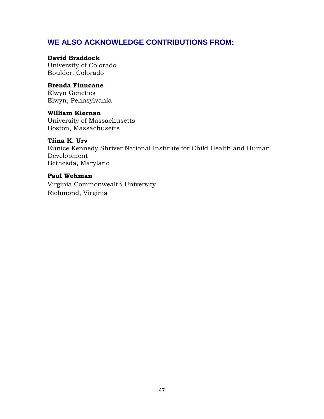## **WE ALSO ACKNOWLEDGE CONTRIBUTIONS FROM:**

#### **David Braddock**

University of Colorado Boulder, Colorado

#### **Brenda Finucane**

Elwyn Genetics Elwyn, Pennsylvania

#### **William Kiernan**

University of Massachusetts Boston, Massachusetts

#### **Tiina K. Urv**

Eunice Kennedy Shriver National Institute for Child Health and Human Development Bethesda, Maryland

#### **Paul Wehman**

Virginia Commonwealth University Richmond, Virginia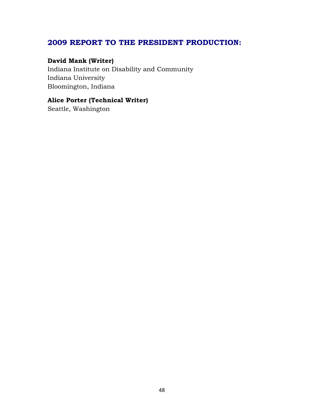## **2009 REPORT TO THE PRESIDENT PRODUCTION:**

#### **David Mank (Writer)**

Indiana Institute on Disability and Community Indiana University Bloomington, Indiana

## **Alice Porter (Technical Writer)**

Seattle, Washington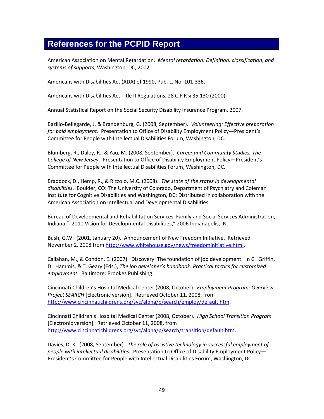## **References for the PCPID Report**

American Association on Mental Retardation. *Mental retardation: Definition, classification, and systems of supports*, Washington, DC, 2002.

Americans with Disabilities Act (ADA) of 1990, Pub. L. No. 101-336.

Americans with Disabilities Act Title II Regulations, 28 C.F.R § 35.130 (2000).

Annual Statistical Report on the Social Security Disability Insurance Program, 2007.

Bazilio-Bellegarde, J. & Brandenburg, G. (2008, September). *Volunteering: Effective preparation for paid employment*. Presentation to Office of Disability Employment Policy—President's Committee for People with Intellectual Disabilities Forum, Washington, DC.

Blumberg, R., Daley, R., & Yau, M. (2008, September). *Career and Community Studies, The College of New Jersey*. Presentation to Office of Disability Employment Policy—President's Committee for People with Intellectual Disabilities Forum, Washington, DC.

Braddock, D., Hemp, R., & Rizzolo, M.C. (2008). *The state of the states in developmental disabilities*. Boulder, CO: The University of Colorado, Department of Psychiatry and Coleman Institute for Cognitive Disabilities and Washington, DC: Distributed in collaboration with the American Association on Intellectual and Developmental Disabilities.

Bureau of Developmental and Rehabilitation Services, Family and Social Services Administration, Indiana." 2010 Vision for Developmental Disabilities," 2006 Indianapolis, IN.

Bush, G.W. (2001, January 20). Announcement of New Freedom Initiative. Retrieved November 2, 2008 fro[m http://www.whitehouse.gov/news/freedominitiative.html.](http://www.whitehouse.gov/news/freedominitiative.html)

Callahan, M., & Condon, E. (2007). Discovery: The foundation of job development. In C. Griffin, D. Hammis, & T. Geary (Eds.), *The job developer's handbook: Practical tactics for customized employment.* Baltimore: Brookes Publishing.

Cincinnati Children's Hospital Medical Center (2008, October). *Employment Program: Overview Project SEARCH* [Electronic version]. Retrieved October 11, 2008, from [http://www.cincinnatichildrens.org/svc/alpha/p/search/employ/default.htm.](http://www.cincinnatichildrens.org/svc/alpha/p/search/employ/default.htm)

Cincinnati Children's Hospital Medical Center (2008, October). *High School Transition Program* [Electronic version]. Retrieved October 11, 2008, from [http://www.cincinnatichildrens.org/svc/alpha/p/search/transition/default.htm.](http://www.cincinnatichildrens.org/svc/alpha/p/search/transition/default.htm)

Davies, D. K. (2008, September). *The role of assistive technology in successful employment of people with intellectual disabilities*. Presentation to Office of Disability Employment Policy— President's Committee for People with Intellectual Disabilities Forum, Washington, DC.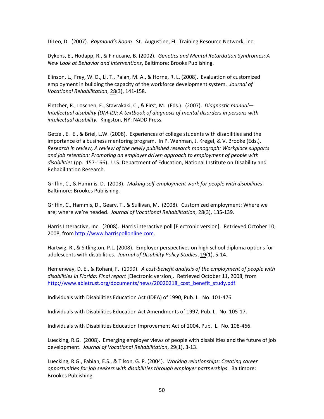DiLeo, D. (2007). *Raymond's Room*. St. Augustine, FL: Training Resource Network, Inc.

Dykens, E., Hodapp, R., & Finucane, B. (2002). *Genetics and Mental Retardation Syndromes: A New Look at Behavior and Interventions*, Baltimore: Brooks Publishing.

Elinson, L., Frey, W. D., Li, T., Palan, M. A., & Horne, R. L. (2008). Evaluation of customized employment in building the capacity of the workforce development system. *Journal of Vocational Rehabilitation*, 28(3), 141-158.

Fletcher, R., Loschen, E., Stavrakaki, C., & First, M. (Eds.). (2007). *Diagnostic manual*— *Intellectual disability (DM-ID): A textbook of diagnosis of mental disorders in persons with intellectual disability.* Kingston, NY: NADD Press.

Getzel, E. E., & Briel, L.W. (2008). Experiences of college students with disabilities and the importance of a business mentoring program. In P. Wehman, J. Kregel, & V. Brooke (Eds.), *Research in review, A review of the newly published research monograph: Workplace supports and job retention: Promoting an employer driven approach to employment of people with disabilities* (pp. 157-166). U.S. Department of Education, National Institute on Disability and Rehabilitation Research.

Griffin, C., & Hammis, D. (2003). *Making self-employment work for people with disabilities*. Baltimore: Brookes Publishing.

Griffin, C., Hammis, D., Geary, T., & Sullivan, M. (2008). Customized employment: Where we are; where we're headed. *Journal of Vocational Rehabilitation*, 28(3), 135-139.

Harris Interactive, Inc. (2008). Harris interactive poll [Electronic version]. Retrieved October 10, 2008, from [http://www.harrispollonline.com.](http://www.harrispollonline.com/)

Hartwig, R., & Sitlington, P.L. (2008). Employer perspectives on high school diploma options for adolescents with disabilities. *Journal of Disability Policy Studies*, 19(1), 5-14.

Hemenway, D. E., & Rohani, F. (1999). *A cost-benefit analysis of the employment of people with disabilities in Florida: Final report* [Electronic version]. Retrieved October 11, 2008, from [http://www.abletrust.org/documents/news/20020218\\_cost\\_benefit\\_study.pdf.](http://www.abletrust.org/documents/news/20020218_cost_benefit_study.pdf)

Individuals with Disabilities Education Act (IDEA) of 1990, Pub. L. No. 101-476.

Individuals with Disabilities Education Act Amendments of 1997, Pub. L. No. 105-17.

Individuals with Disabilities Education Improvement Act of 2004, Pub. L. No. 108-466.

Luecking, R.G. (2008). Emerging employer views of people with disabilities and the future of job development. *Journal of Vocational Rehabilitation*, 29(1), 3-13.

Luecking, R.G., Fabian, E.S., & Tilson, G. P. (2004). *Working relationships: Creating career opportunities for job seekers with disabilities through employer partnerships*. Baltimore: Brookes Publishing.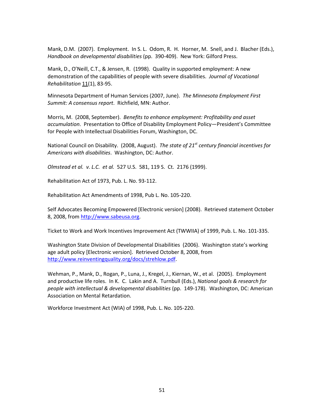Mank, D.M. (2007). Employment. In S. L. Odom, R. H. Horner, M. Snell, and J. Blacher (Eds.), *Handbook on developmental disabilities* (pp. 390-409). New York: Gilford Press.

Mank, D., O'Neill, C.T., & Jensen, R. (1998). Quality in supported employment: A new demonstration of the capabilities of people with severe disabilities. *Journal of Vocational Rehabilitation* 11(1), 83-95.

Minnesota Department of Human Services (2007, June). *The Minnesota Employment First Summit: A consensus report*. Richfield, MN: Author.

Morris, M. (2008, September). *Benefits to enhance employment: Profitability and asset accumulation*. Presentation to Office of Disability Employment Policy—President's Committee for People with Intellectual Disabilities Forum, Washington, DC.

National Council on Disability. (2008, August). *The state of 21st century financial incentives for Americans with disabilities*. Washington, DC: Author.

*Olmstead et al. v. L.C. et al.* 527 U.S. 581, 119 S. Ct. 2176 (1999).

Rehabilitation Act of 1973, Pub. L. No. 93-112.

Rehabilitation Act Amendments of 1998, Pub L. No. 105-220.

Self Advocates Becoming Empowered [Electronic version] (2008). Retrieved statement October 8, 2008, fro[m http://www.sabeusa.org.](http://www.sabeusa.org/)

Ticket to Work and Work Incentives Improvement Act (TWWIIA) of 1999, Pub. L. No. 101-335.

Washington State Division of Developmental Disabilities (2006). Washington state's working age adult policy [Electronic version]. Retrieved October 8, 2008, from [http://www.reinventingquality.org/docs/strehlow.pdf.](http://www.reinventingquality.org/docs/strehlow.pdf)

Wehman, P., Mank, D., Rogan, P., Luna, J., Kregel, J., Kiernan, W., et al. (2005). Employment and productive life roles. In K. C. Lakin and A. Turnbull (Eds.), *National goals & research for people with intellectual & developmental disabilities* (pp. 149-178). Washington, DC: American Association on Mental Retardation.

Workforce Investment Act (WIA) of 1998, Pub. L. No. 105-220.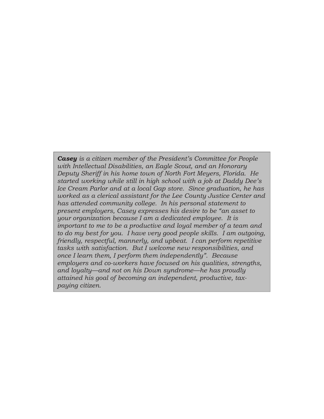*Casey is a citizen member of the President's Committee for People with Intellectual Disabilities, an Eagle Scout, and an Honorary Deputy Sheriff in his home town of North Fort Meyers, Florida. He started working while still in high school with a job at Daddy Dee's Ice Cream Parlor and at a local Gap store. Since graduation, he has worked as a clerical assistant for the Lee County Justice Center and has attended community college. In his personal statement to present employers, Casey expresses his desire to be "an asset to your organization because I am a dedicated employee. It is important to me to be a productive and loyal member of a team and to do my best for you. I have very good people skills. I am outgoing, friendly, respectful, mannerly, and upbeat. I can perform repetitive tasks with satisfaction. But I welcome new responsibilities, and once I learn them, I perform them independently". Because employers and co-workers have focused on his qualities, strengths, and loyalty—and not on his Down syndrome—he has proudly attained his goal of becoming an independent, productive, taxpaying citizen.*